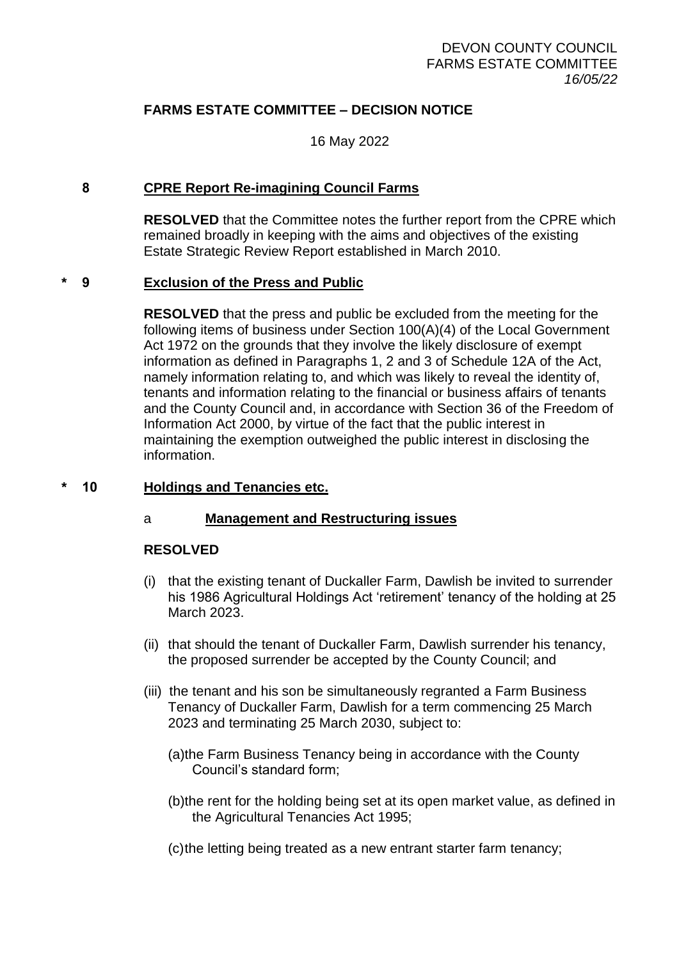# **FARMS ESTATE COMMITTEE – DECISION NOTICE**

16 May 2022

### **8 CPRE Report Re-imagining Council Farms**

**RESOLVED** that the Committee notes the further report from the CPRE which remained broadly in keeping with the aims and objectives of the existing Estate Strategic Review Report established in March 2010.

#### **\* 9 Exclusion of the Press and Public**

**RESOLVED** that the press and public be excluded from the meeting for the following items of business under Section 100(A)(4) of the Local Government Act 1972 on the grounds that they involve the likely disclosure of exempt information as defined in Paragraphs 1, 2 and 3 of Schedule 12A of the Act, namely information relating to, and which was likely to reveal the identity of, tenants and information relating to the financial or business affairs of tenants and the County Council and, in accordance with Section 36 of the Freedom of Information Act 2000, by virtue of the fact that the public interest in maintaining the exemption outweighed the public interest in disclosing the information.

#### **\* 10 Holdings and Tenancies etc.**

#### a **Management and Restructuring issues**

#### **RESOLVED**

- (i) that the existing tenant of Duckaller Farm, Dawlish be invited to surrender his 1986 Agricultural Holdings Act 'retirement' tenancy of the holding at 25 March 2023.
- (ii) that should the tenant of Duckaller Farm, Dawlish surrender his tenancy, the proposed surrender be accepted by the County Council; and
- (iii) the tenant and his son be simultaneously regranted a Farm Business Tenancy of Duckaller Farm, Dawlish for a term commencing 25 March 2023 and terminating 25 March 2030, subject to:
	- (a)the Farm Business Tenancy being in accordance with the County Council's standard form;
	- (b)the rent for the holding being set at its open market value, as defined in the Agricultural Tenancies Act 1995;
	- (c)the letting being treated as a new entrant starter farm tenancy;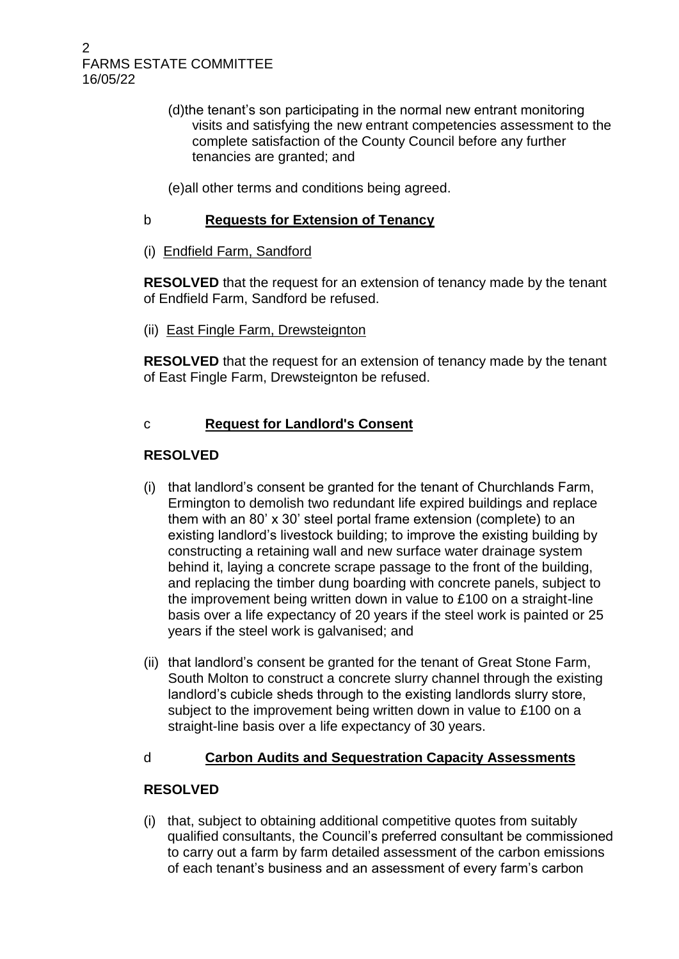2 FARMS ESTATE COMMITTEE 16/05/22

- (d)the tenant's son participating in the normal new entrant monitoring visits and satisfying the new entrant competencies assessment to the complete satisfaction of the County Council before any further tenancies are granted; and
- (e)all other terms and conditions being agreed.

# b **Requests for Extension of Tenancy**

(i) Endfield Farm, Sandford

**RESOLVED** that the request for an extension of tenancy made by the tenant of Endfield Farm, Sandford be refused.

(ii) East Fingle Farm, Drewsteignton

**RESOLVED** that the request for an extension of tenancy made by the tenant of East Fingle Farm, Drewsteignton be refused.

# c **Request for Landlord's Consent**

# **RESOLVED**

- (i) that landlord's consent be granted for the tenant of Churchlands Farm, Ermington to demolish two redundant life expired buildings and replace them with an 80' x 30' steel portal frame extension (complete) to an existing landlord's livestock building; to improve the existing building by constructing a retaining wall and new surface water drainage system behind it, laying a concrete scrape passage to the front of the building, and replacing the timber dung boarding with concrete panels, subject to the improvement being written down in value to £100 on a straight-line basis over a life expectancy of 20 years if the steel work is painted or 25 years if the steel work is galvanised; and
- (ii) that landlord's consent be granted for the tenant of Great Stone Farm, South Molton to construct a concrete slurry channel through the existing landlord's cubicle sheds through to the existing landlords slurry store, subject to the improvement being written down in value to £100 on a straight-line basis over a life expectancy of 30 years.

# d **Carbon Audits and Sequestration Capacity Assessments**

# **RESOLVED**

(i) that, subject to obtaining additional competitive quotes from suitably qualified consultants, the Council's preferred consultant be commissioned to carry out a farm by farm detailed assessment of the carbon emissions of each tenant's business and an assessment of every farm's carbon